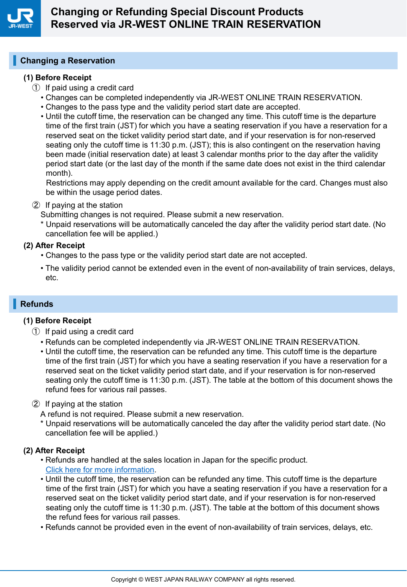

#### **Changing a Reservation**

#### **(1) Before Receipt**

- ① If paid using a credit card
	- Changes can be completed independently via JR-WEST ONLINE TRAIN RESERVATION.
	- Changes to the pass type and the validity period start date are accepted.
	- Until the cutoff time, the reservation can be changed any time. This cutoff time is the departure time of the first train (JST) for which you have a seating reservation if you have a reservation for a reserved seat on the ticket validity period start date, and if your reservation is for non-reserved seating only the cutoff time is 11:30 p.m. (JST); this is also contingent on the reservation having been made (initial reservation date) at least 3 calendar months prior to the day after the validity period start date (or the last day of the month if the same date does not exist in the third calendar month).

Restrictions may apply depending on the credit amount available for the card. Changes must also be within the usage period dates.

② If paying at the station

Submitting changes is not required. Please submit a new reservation.

\* Unpaid reservations will be automatically canceled the day after the validity period start date. (No cancellation fee will be applied.)

#### **(2) After Receipt**

- Changes to the pass type or the validity period start date are not accepted.
- The validity period cannot be extended even in the event of non-availability of train services, delays, etc.

## **Refunds**

#### **(1) Before Receipt**

- ① If paid using a credit card
	- Refunds can be completed independently via JR-WEST ONLINE TRAIN RESERVATION.
	- Until the cutoff time, the reservation can be refunded any time. This cutoff time is the departure time of the first train (JST) for which you have a seating reservation if you have a reservation for a reserved seat on the ticket validity period start date, and if your reservation is for non-reserved seating only the cutoff time is 11:30 p.m. (JST). The table at the bottom of this document shows the refund fees for various rail passes.

#### ② If paying at the station

A refund is not required. Please submit a new reservation.

\* Unpaid reservations will be automatically canceled the day after the validity period start date. (No cancellation fee will be applied.)

#### **(2) After Receipt**

- Refunds are handled at the sales location in Japan for the specific product. [Click here for more information.](https://www.westjr.co.jp/global/en/ticket/pass/shop/pdf/JRW_EN.PDF)
- Until the cutoff time, the reservation can be refunded any time. This cutoff time is the departure time of the first train (JST) for which you have a seating reservation if you have a reservation for a reserved seat on the ticket validity period start date, and if your reservation is for non-reserved seating only the cutoff time is 11:30 p.m. (JST). The table at the bottom of this document shows the refund fees for various rail passes.
- Refunds cannot be provided even in the event of non-availability of train services, delays, etc.